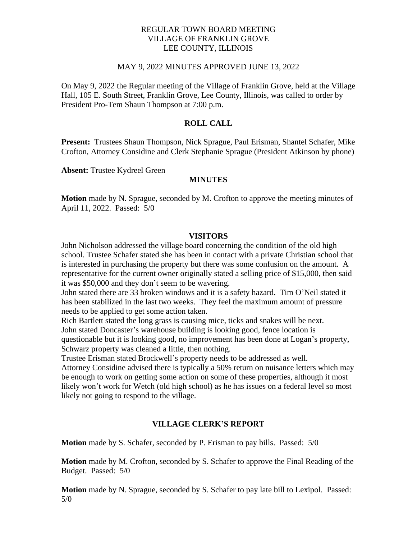## REGULAR TOWN BOARD MEETING VILLAGE OF FRANKLIN GROVE LEE COUNTY, ILLINOIS

### MAY 9, 2022 MINUTES APPROVED JUNE 13, 2022

On May 9, 2022 the Regular meeting of the Village of Franklin Grove, held at the Village Hall, 105 E. South Street, Franklin Grove, Lee County, Illinois, was called to order by President Pro-Tem Shaun Thompson at 7:00 p.m.

## **ROLL CALL**

**Present:** Trustees Shaun Thompson, Nick Sprague, Paul Erisman, Shantel Schafer, Mike Crofton, Attorney Considine and Clerk Stephanie Sprague (President Atkinson by phone)

**Absent:** Trustee Kydreel Green

#### **MINUTES**

**Motion** made by N. Sprague, seconded by M. Crofton to approve the meeting minutes of April 11, 2022. Passed: 5/0

#### **VISITORS**

John Nicholson addressed the village board concerning the condition of the old high school. Trustee Schafer stated she has been in contact with a private Christian school that is interested in purchasing the property but there was some confusion on the amount. A representative for the current owner originally stated a selling price of \$15,000, then said it was \$50,000 and they don't seem to be wavering.

John stated there are 33 broken windows and it is a safety hazard. Tim O'Neil stated it has been stabilized in the last two weeks. They feel the maximum amount of pressure needs to be applied to get some action taken.

Rich Bartlett stated the long grass is causing mice, ticks and snakes will be next. John stated Doncaster's warehouse building is looking good, fence location is questionable but it is looking good, no improvement has been done at Logan's property, Schwarz property was cleaned a little, then nothing.

Trustee Erisman stated Brockwell's property needs to be addressed as well.

Attorney Considine advised there is typically a 50% return on nuisance letters which may be enough to work on getting some action on some of these properties, although it most likely won't work for Wetch (old high school) as he has issues on a federal level so most likely not going to respond to the village.

## **VILLAGE CLERK'S REPORT**

**Motion** made by S. Schafer, seconded by P. Erisman to pay bills. Passed: 5/0

**Motion** made by M. Crofton, seconded by S. Schafer to approve the Final Reading of the Budget. Passed: 5/0

**Motion** made by N. Sprague, seconded by S. Schafer to pay late bill to Lexipol. Passed: 5/0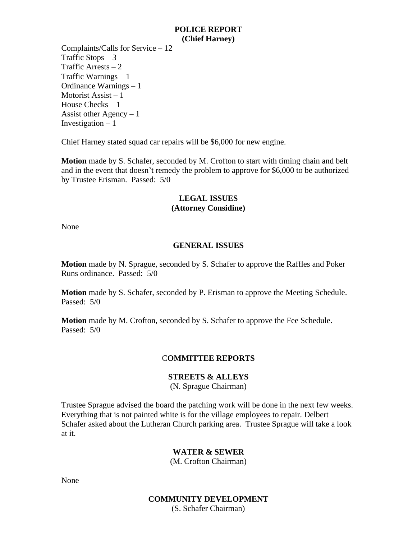### **POLICE REPORT (Chief Harney)**

Complaints/Calls for Service – 12 Traffic Stops  $-3$ Traffic Arrests  $-2$ Traffic Warnings – 1 Ordinance Warnings – 1 Motorist Assist – 1 House Checks – 1 Assist other Agency  $-1$ Investigation  $-1$ 

Chief Harney stated squad car repairs will be \$6,000 for new engine.

**Motion** made by S. Schafer, seconded by M. Crofton to start with timing chain and belt and in the event that doesn't remedy the problem to approve for \$6,000 to be authorized by Trustee Erisman. Passed: 5/0

# **LEGAL ISSUES (Attorney Considine)**

None

# **GENERAL ISSUES**

**Motion** made by N. Sprague, seconded by S. Schafer to approve the Raffles and Poker Runs ordinance. Passed: 5/0

**Motion** made by S. Schafer, seconded by P. Erisman to approve the Meeting Schedule. Passed: 5/0

**Motion** made by M. Crofton, seconded by S. Schafer to approve the Fee Schedule. Passed: 5/0

## C**OMMITTEE REPORTS**

## **STREETS & ALLEYS**

(N. Sprague Chairman)

Trustee Sprague advised the board the patching work will be done in the next few weeks. Everything that is not painted white is for the village employees to repair. Delbert Schafer asked about the Lutheran Church parking area. Trustee Sprague will take a look at it.

#### **WATER & SEWER**

(M. Crofton Chairman)

None

### **COMMUNITY DEVELOPMENT** (S. Schafer Chairman)